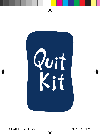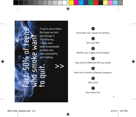Fact: 50% of teens who smoke want 70 to quit.

If you're one of them, this book can help you through it. The following 7 steps have been recommended by teens who have successfully quit smoking.

>>

**1** Write down your reasons for quitting.

#### **2**

Set a quit date.

#### **3**

Identify your triggers and strategies.

#### **4**

Keep track of WHEN and WHY you smoke.

**5**

Know how to handle withdrawal symptoms.

**6**

Take action.



Stay smoke-free.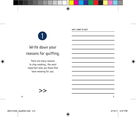**Why I want to quit** 

# Write down your reasons for quitting.

1

There are many reasons to stop smoking…the most important ones are those that have meaning for you.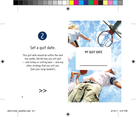

### Set a quit date.

This quit date should be within the next two weeks. Decide how you will quit — cold turkey or cutting back — and any other strategy that you will use. (See your large booklet.)

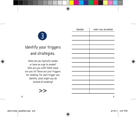3

# Identify your triggers and strategies.

When do you typically smoke or have an urge to smoke? Who are you with? What mood are you in? These are your triggers for smoking. For each trigger you identify, what might you do instead of smoking?



| <b>TRIGGERS</b> | WHAT I WILL DO INSTEAD |
|-----------------|------------------------|
|                 |                        |
|                 |                        |
|                 |                        |
|                 |                        |
|                 |                        |
|                 |                        |
|                 |                        |
|                 |                        |
|                 |                        |
|                 |                        |
|                 |                        |
|                 |                        |
|                 |                        |
|                 |                        |
|                 |                        |
|                 |                        |

 $\mathbf{r}$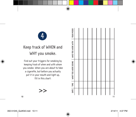

# Keep track of WHEN and WHY you smoke.

Find out your triggers for smoking by keeping track of when and with whom you smoke. When you are about to take a cigarette, but before you actually put it in your mouth and light up, fill in this chart:

>>

| WHAT YOU WERE DOING   WHO YOU WERE WITH   YOUR MOOD |  |  |  |  |  |
|-----------------------------------------------------|--|--|--|--|--|
| TIME                                                |  |  |  |  |  |
| DATE                                                |  |  |  |  |  |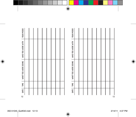| <b>YOUR MOOD</b>         |    |  |  |  |  |  |  |  |  |  | <b>YOUR MOOD</b>    |  |  |  |  |  |
|--------------------------|----|--|--|--|--|--|--|--|--|--|---------------------|--|--|--|--|--|
| WHO YOU WERE WITH        |    |  |  |  |  |  |  |  |  |  | WHO YOU WERE WITH   |  |  |  |  |  |
| -<br>WHAT YOU WERE DOING |    |  |  |  |  |  |  |  |  |  | WHAT YOU WERE DOING |  |  |  |  |  |
| TIME                     |    |  |  |  |  |  |  |  |  |  | TIME                |  |  |  |  |  |
| DATE                     |    |  |  |  |  |  |  |  |  |  | <b>DATE</b>         |  |  |  |  |  |
| 12                       | 13 |  |  |  |  |  |  |  |  |  |                     |  |  |  |  |  |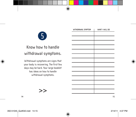

### Know how to handle withdrawal symptoms.

Withdrawal symptoms are signs that your body is recovering. The first few days may be hard. Your large booklet has ideas on how to handle withdrawal symptoms.

>>

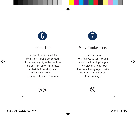

#### Take action.

Tell your friends and ask for their understanding and support. Throw away any cigarettes you have, and get rid of any other tobacco materials. Remember, total abstinence is essential even one puff can set you back.

>>



### Stay smoke-free.

Congratulations! Now that you've quit smoking, think of what could get in your way of staying a nonsmoker. Use the following page to write down how you will handle these challenges.

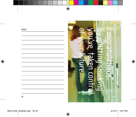**NOTES**

# you've taken control of your future. By quitting smoking Congratulations. D ര് œ <u>ion</u> --